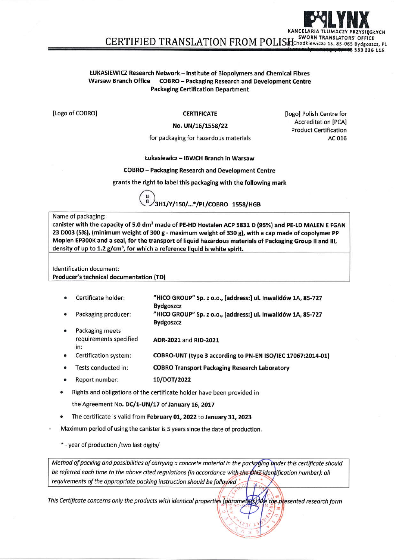#### ŁUKASIEWICZ Research Network - Institute of Biopolymers and Chemical Fibres **COBRO** - Packaging Research and Development Centre **Warsaw Branch Office Packaging Certification Department**

[Logo of COBRO]

**CERTIFICATE** 

### No. UN/16/1558/22

[logo] Polish Centre for **Accreditation [PCA] Product Certification** AC 016

for packaging for hazardous materials

## Łukasiewicz - IBWCH Branch in Warsaw

### **COBRO** - Packaging Research and Development Centre

grants the right to label this packaging with the following mark

3H1/Y/150/...\*/PL/COBRO 1558/HGB

#### Name of packaging:

canister with the capacity of 5.0 dm<sup>3</sup> made of PE-HD Hostalen ACP 5831 D (95%) and PE-LD MALEN E FGAN 23 D003 (5%), (minimum weight of 300 g - maximum weight of 330 g), with a cap made of copolymer PP Moplen EP300K and a seal, for the transport of liquid hazardous materials of Packaging Group II and III, density of up to 1.2  $g/cm<sup>3</sup>$ , for which a reference liquid is white spirit.

Identification document: **Producer's technical documentation (TD)** 

- Certificate holder: "HICO GROUP" Sp. z o.o., [address:] ul. Inwalidów 1A, 85-727 **Bydgoszcz**
- Packaging producer: "HICO GROUP" Sp. z o.o., [address:] ul. Inwalidów 1A, 85-727 **Bydgoszcz**
- Packaging meets requirements specified ADR-2021 and RID-2021 in:
- Certification system: COBRO-UNT (type 3 according to PN-EN ISO/IEC 17067:2014-01)
- Tests conducted in: **COBRO Transport Packaging Research Laboratory**
- 10/DOT/2022 Report number:

Rights and obligations of the certificate holder have been provided in

the Agreement No. DC/1-UN/17 of January 16, 2017

- The certificate is valid from February 01, 2022 to January 31, 2023
- Maximum period of using the canister is 5 years since the date of production.

\* - year of production /two last digits/

Method of packing and possibilities of carrying a concrete material in the packaging under this certificate should be referred each time to the above cited regulations (in accordance with the ONZ identification number); all requirements of the appropriate packing instruction should be followed

This Certificate concerns only the products with identical properties (parameters) like the presented research form